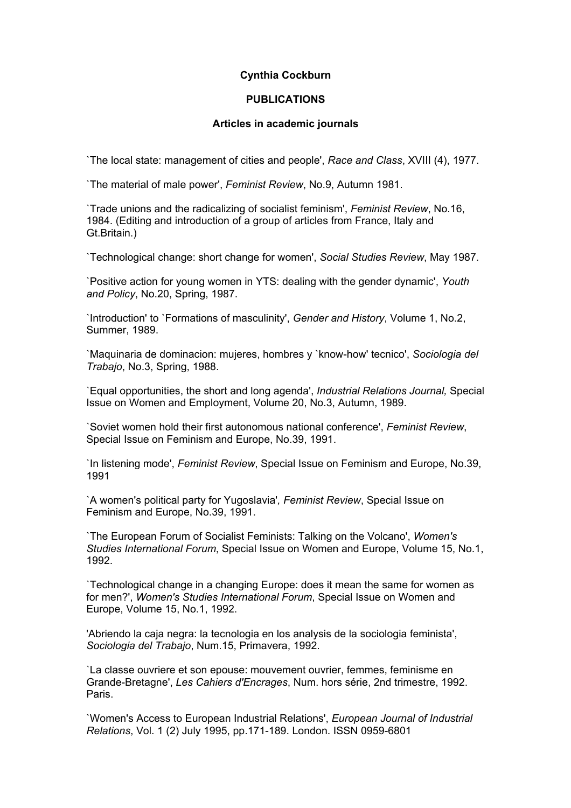## **Cynthia Cockburn**

## **PUBLICATIONS**

## **Articles in academic journals**

`The local state: management of cities and people', *Race and Class*, XVIII (4), 1977.

`The material of male power', *Feminist Review*, No.9, Autumn 1981.

`Trade unions and the radicalizing of socialist feminism', *Feminist Review*, No.16, 1984. (Editing and introduction of a group of articles from France, Italy and Gt.Britain.)

`Technological change: short change for women', *Social Studies Review*, May 1987.

`Positive action for young women in YTS: dealing with the gender dynamic', *Youth and Policy*, No.20, Spring, 1987.

`Introduction' to `Formations of masculinity', *Gender and History*, Volume 1, No.2, Summer, 1989.

`Maquinaria de dominacion: mujeres, hombres y `know-how' tecnico', *Sociologia del Trabajo*, No.3, Spring, 1988.

`Equal opportunities, the short and long agenda', *Industrial Relations Journal,* Special Issue on Women and Employment, Volume 20, No.3, Autumn, 1989.

`Soviet women hold their first autonomous national conference', *Feminist Review*, Special Issue on Feminism and Europe, No.39, 1991.

`In listening mode', *Feminist Review*, Special Issue on Feminism and Europe, No.39, 1991

`A women's political party for Yugoslavia'*, Feminist Review*, Special Issue on Feminism and Europe, No.39, 1991.

`The European Forum of Socialist Feminists: Talking on the Volcano', *Women's Studies International Forum*, Special Issue on Women and Europe, Volume 15, No.1, 1992.

`Technological change in a changing Europe: does it mean the same for women as for men?', *Women's Studies International Forum*, Special Issue on Women and Europe, Volume 15, No.1, 1992.

'Abriendo la caja negra: la tecnologia en los analysis de la sociologia feminista', *Sociologia del Trabajo*, Num.15, Primavera, 1992.

`La classe ouvriere et son epouse: mouvement ouvrier, femmes, feminisme en Grande-Bretagne', *Les Cahiers d'Encrages*, Num. hors série, 2nd trimestre, 1992. Paris.

`Women's Access to European Industrial Relations', *European Journal of Industrial Relations*, Vol. 1 (2) July 1995, pp.171-189. London. ISSN 0959-6801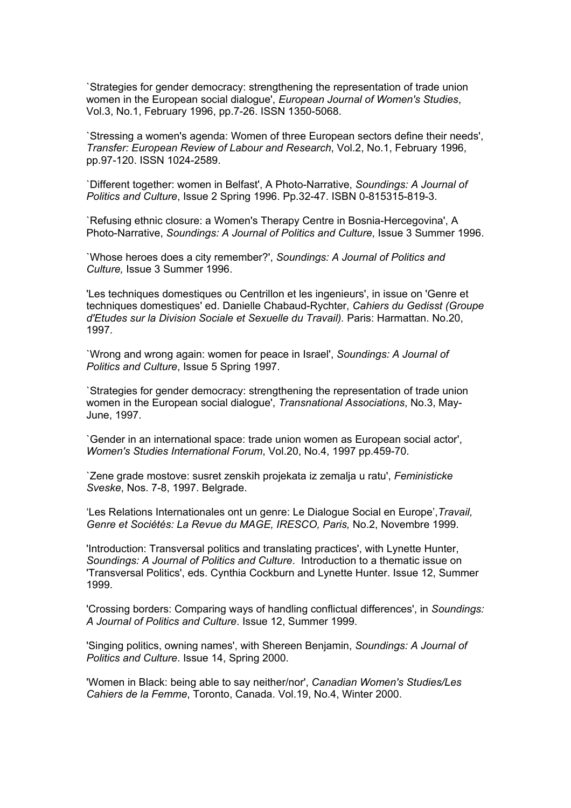`Strategies for gender democracy: strengthening the representation of trade union women in the European social dialogue', *European Journal of Women's Studies*, Vol.3, No.1, February 1996, pp.7-26. ISSN 1350-5068.

`Stressing a women's agenda: Women of three European sectors define their needs', *Transfer: European Review of Labour and Research*, Vol.2, No.1, February 1996, pp.97-120. ISSN 1024-2589.

`Different together: women in Belfast', A Photo-Narrative, *Soundings: A Journal of Politics and Culture*, Issue 2 Spring 1996. Pp.32-47. ISBN 0-815315-819-3.

`Refusing ethnic closure: a Women's Therapy Centre in Bosnia-Hercegovina', A Photo-Narrative, *Soundings: A Journal of Politics and Culture*, Issue 3 Summer 1996.

`Whose heroes does a city remember?', *Soundings: A Journal of Politics and Culture,* Issue 3 Summer 1996.

'Les techniques domestiques ou Centrillon et les ingenieurs', in issue on 'Genre et techniques domestiques' ed. Danielle Chabaud-Rychter, *Cahiers du Gedisst (Groupe d'Etudes sur la Division Sociale et Sexuelle du Travail).* Paris: Harmattan. No.20, 1997.

`Wrong and wrong again: women for peace in Israel', *Soundings: A Journal of Politics and Culture*, Issue 5 Spring 1997.

`Strategies for gender democracy: strengthening the representation of trade union women in the European social dialogue', *Transnational Associations*, No.3, May-June, 1997.

`Gender in an international space: trade union women as European social actor', *Women's Studies International Forum*, Vol.20, No.4, 1997 pp.459-70.

`Zene grade mostove: susret zenskih projekata iz zemalja u ratu', *Feministicke Sveske*, Nos. 7-8, 1997. Belgrade.

'Les Relations Internationales ont un genre: Le Dialogue Social en Europe',*Travail, Genre et Sociétés: La Revue du MAGE, IRESCO, Paris,* No.2, Novembre 1999.

'Introduction: Transversal politics and translating practices', with Lynette Hunter, *Soundings: A Journal of Politics and Culture*. Introduction to a thematic issue on 'Transversal Politics', eds. Cynthia Cockburn and Lynette Hunter. Issue 12, Summer 1999.

'Crossing borders: Comparing ways of handling conflictual differences', in *Soundings: A Journal of Politics and Culture*. Issue 12, Summer 1999.

'Singing politics, owning names', with Shereen Benjamin, *Soundings: A Journal of Politics and Culture*. Issue 14, Spring 2000.

'Women in Black: being able to say neither/nor', *Canadian Women's Studies/Les Cahiers de la Femme*, Toronto, Canada. Vol.19, No.4, Winter 2000.